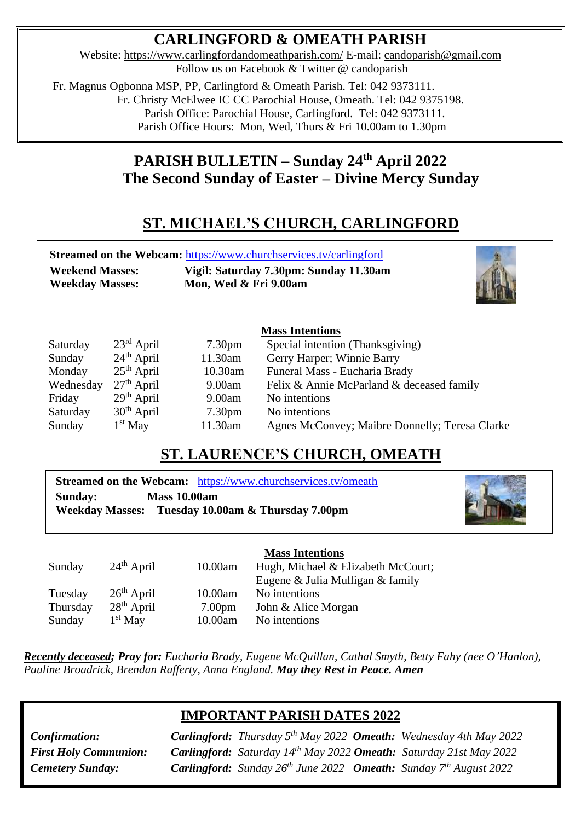# **CARLINGFORD & OMEATH PARISH**

Website:<https://www.carlingfordandomeathparish.com/> E-mail: [candoparish@gmail.com](mailto:candoparish@gmail.com) Follow us on Facebook & Twitter @ candoparish

 Fr. Magnus Ogbonna MSP, PP, Carlingford & Omeath Parish. Tel: 042 9373111. Fr. Christy McElwee IC CC Parochial House, Omeath. Tel: 042 9375198. Parish Office: Parochial House, Carlingford. Tel: 042 9373111. Parish Office Hours: Mon, Wed, Thurs & Fri 10.00am to 1.30pm

# **PARISH BULLETIN – Sunday 24th April 2022 The Second Sunday of Easter – Divine Mercy Sunday**

# **ST. MICHAEL'S CHURCH, CARLINGFORD**

| <b>Streamed on the Webcam: https://www.churchservices.tv/carlingford</b> |                                        |  |  |  |  |
|--------------------------------------------------------------------------|----------------------------------------|--|--|--|--|
| <b>Weekend Masses:</b>                                                   | Vigil: Saturday 7.30pm: Sunday 11.30am |  |  |  |  |
| <b>Weekday Masses:</b>                                                   | Mon, Wed & Fri 9.00am                  |  |  |  |  |
|                                                                          |                                        |  |  |  |  |
| $M_{\alpha\alpha\alpha}$ Intentions                                      |                                        |  |  |  |  |

### **Mass Intentions**

| Saturday  | $23^{\text{rd}}$ April | 7.30 <sub>pm</sub> | Special intention (Thanksgiving)               |
|-----------|------------------------|--------------------|------------------------------------------------|
| Sunday    | $24th$ April           | 11.30am            | Gerry Harper; Winnie Barry                     |
| Monday    | $25th$ April           | 10.30am            | Funeral Mass - Eucharia Brady                  |
| Wednesday | $27th$ April           | 9.00am             | Felix & Annie McParland & deceased family      |
| Friday    | $29th$ April           | 9.00am             | No intentions                                  |
| Saturday  | $30th$ April           | 7.30 <sub>pm</sub> | No intentions                                  |
| Sunday    | $1st$ May              | 11.30am            | Agnes McConvey; Maibre Donnelly; Teresa Clarke |
|           |                        |                    |                                                |

## **ST. LAURENCE'S CHURCH, OMEATH**

**Streamed on the Webcam:** <https://www.churchservices.tv/omeath> **Sunday: Mass 10.00am Weekday Masses: Tuesday 10.00am & Thursday 7.00pm**



|          |              |                    | <b>Mass Intentions</b>             |
|----------|--------------|--------------------|------------------------------------|
| Sunday   | $24th$ April | 10.00am            | Hugh, Michael & Elizabeth McCourt; |
|          |              |                    | Eugene & Julia Mulligan & family   |
| Tuesday  | $26th$ April | 10.00am            | No intentions                      |
| Thursday | $28th$ April | 7.00 <sub>pm</sub> | John & Alice Morgan                |
| Sunday   | $1st$ May    | 10.00am            | No intentions                      |

*Recently deceased; Pray for: Eucharia Brady, Eugene McQuillan, Cathal Smyth, Betty Fahy (nee O'Hanlon),*   *Pauline Broadrick, Brendan Rafferty, Anna England. May they Rest in Peace. Amen* 

### **IMPORTANT PARISH DATES 2022**

*Cemetery Sunday:* 

**First Holy Communion: Carlingford:** Saturday 14<sup>th</sup> May 2022 **Omeath:** Saturday 21st May 2022 *Confirmation: Carlingford: Thursday 5th May 2022 Omeath: Wednesday 4th May 2022 Cemetery Sunday: Carlingford: Sunday 26th June 2022 Omeath: Sunday 7th August 2022*